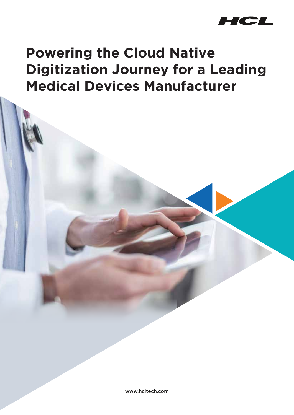

## **Powering the Cloud Native Digitization Journey for a Leading Medical Devices Manufacturer**

www.hcltech.com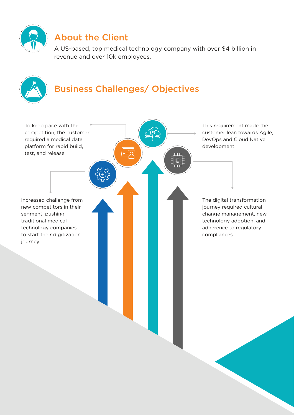

## About the Client

A US-based, top medical technology company with over \$4 billion in revenue and over 10k employees.

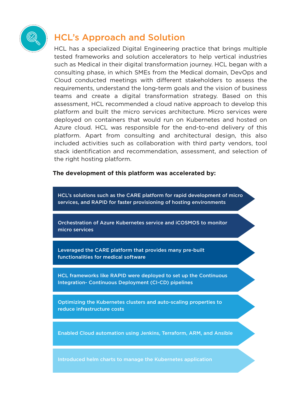

## HCL's Approach and Solution

HCL has a specialized Digital Engineering practice that brings multiple tested frameworks and solution accelerators to help vertical industries such as Medical in their digital transformation journey. HCL began with a consulting phase, in which SMEs from the Medical domain, DevOps and Cloud conducted meetings with different stakeholders to assess the requirements, understand the long-term goals and the vision of business teams and create a digital transformation strategy. Based on this assessment, HCL recommended a cloud native approach to develop this platform and built the micro services architecture. Micro services were deployed on containers that would run on Kubernetes and hosted on Azure cloud. HCL was responsible for the end-to-end delivery of this platform. Apart from consulting and architectural design, this also included activities such as collaboration with third party vendors, tool stack identification and recommendation, assessment, and selection of the right hosting platform.

## **The development of this platform was accelerated by:**

HCL's solutions such as the CARE platform for rapid development of micro services, and RAPID for faster provisioning of hosting environments

Orchestration of Azure Kubernetes service and iCOSMOS to monitor micro services

Leveraged the CARE platform that provides many pre-built functionalities for medical software

HCL frameworks like RAPID were deployed to set up the Continuous Integration- Continuous Deployment (CI-CD) pipelines

Optimizing the Kubernetes clusters and auto-scaling properties to reduce infrastructure costs

Enabled Cloud automation using Jenkins, Terraform, ARM, and Ansible

Introduced helm charts to manage the Kubernetes application